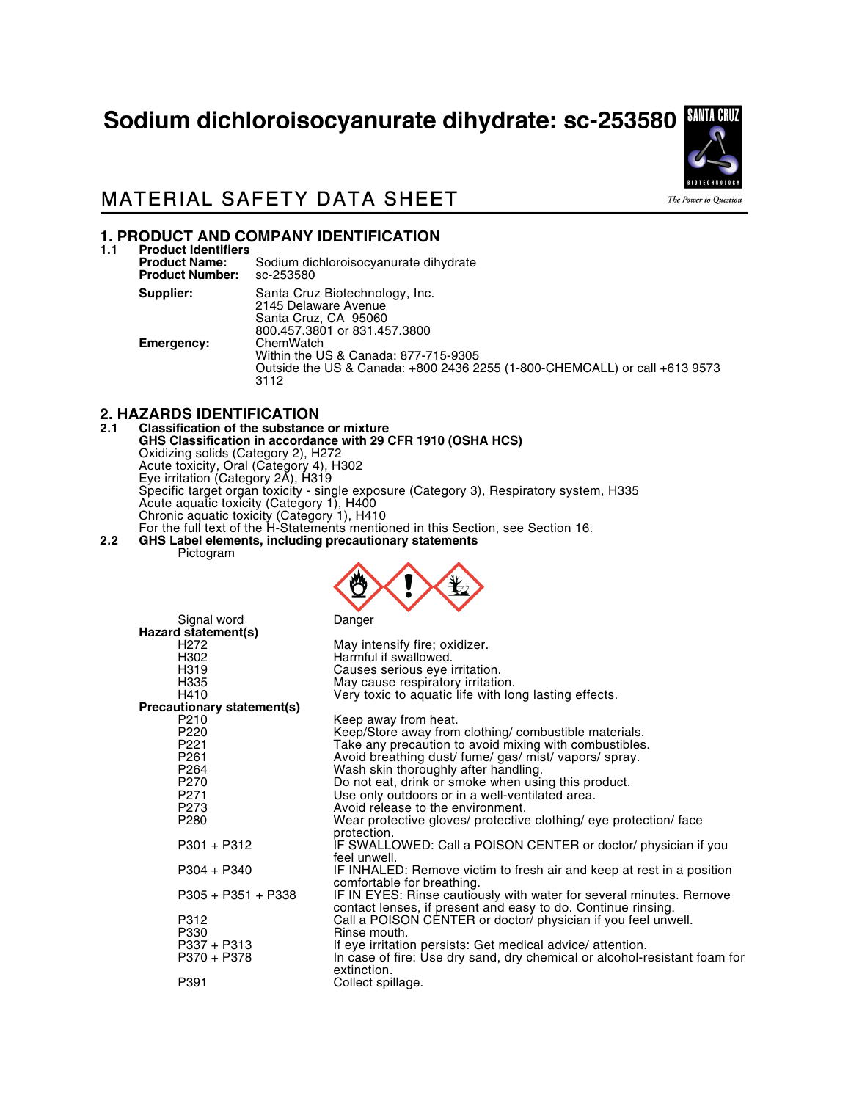# Sodium dichloroisocyanurate dihydrate: sc-253580



### **MATERIAL SAFETY DATA SHEET**

# **1. PRODUCT AND COMPANY IDENTIFICATION**

**1.1 Product Identifiers** Sodium dichloroisocyanurate dihydrate sc-253580 **Product Number: Supplier:** Santa Cruz Biotechnology, Inc. 2145 Delaware Avenue Santa Cruz, CA 95060 800.457.3801 or 831.457.3800 **Emergency:** Within the US & Canada: 877-715-9305 Outside the US & Canada: +800 2436 2255 (1-800-CHEMCALL) or call +613 9573 3112

# **2. HAZARDS IDENTIFICATION**

#### **2.1 Classification of the substance or mixture GHS Classification in accordance with 29 CFR 1910 (OSHA HCS)** Oxidizing solids (Category 2), H272 Acute toxicity, Oral (Category 4), H302 Eye irritation (Category 2A), H319 Specific target organ toxicity - single exposure (Category 3), Respiratory system, H335 Acute aquatic toxicity (Category 1), H400 Chronic aquatic toxicity (Category 1), H410 For the full text of the H-Statements mentioned in this Section, see Section 16.

**2.2 GHS Label elements, including precautionary statements** Pictogram



|                            | Signal word          | Danger                                                                                                                              |
|----------------------------|----------------------|-------------------------------------------------------------------------------------------------------------------------------------|
|                            | Hazard statement(s)  |                                                                                                                                     |
|                            | H272                 | May intensify fire; oxidizer.                                                                                                       |
|                            | H302                 | Harmful if swallowed.                                                                                                               |
|                            | H319                 | Causes serious eye irritation.                                                                                                      |
|                            | H335                 | May cause respiratory irritation.                                                                                                   |
|                            | H410                 | Very toxic to aquatic life with long lasting effects.                                                                               |
| Precautionary statement(s) |                      |                                                                                                                                     |
|                            | P <sub>210</sub>     | Keep away from heat.                                                                                                                |
|                            | P <sub>220</sub>     | Keep/Store away from clothing/ combustible materials.                                                                               |
|                            | P221                 | Take any precaution to avoid mixing with combustibles.                                                                              |
|                            | P <sub>261</sub>     | Avoid breathing dust/ fume/ gas/ mist/ vapors/ spray.                                                                               |
|                            | P <sub>264</sub>     | Wash skin thoroughly after handling.                                                                                                |
|                            | P270                 | Do not eat, drink or smoke when using this product.                                                                                 |
|                            | P <sub>271</sub>     | Use only outdoors or in a well-ventilated area.                                                                                     |
|                            | P273                 | Avoid release to the environment.                                                                                                   |
|                            | P <sub>280</sub>     | Wear protective gloves/ protective clothing/ eye protection/ face<br>protection.                                                    |
|                            | $P301 + P312$        | IF SWALLOWED: Call a POISON CENTER or doctor/ physician if you<br>feel unwell.                                                      |
|                            | $P304 + P340$        | IF INHALED: Remove victim to fresh air and keep at rest in a position<br>comfortable for breathing.                                 |
|                            | $P305 + P351 + P338$ | IF IN EYES: Rinse cautiously with water for several minutes. Remove<br>contact lenses, if present and easy to do. Continue rinsing. |
|                            | P312                 | Call a POISON CENTER or doctor/ physician if you feel unwell.                                                                       |
|                            | P330                 | Rinse mouth.                                                                                                                        |
|                            | P337 + P313          | If eye irritation persists: Get medical advice/attention.                                                                           |
|                            | P370 + P378          | In case of fire: Use dry sand, dry chemical or alcohol-resistant foam for<br>extinction.                                            |
|                            | P391                 | Collect spillage.                                                                                                                   |
|                            |                      |                                                                                                                                     |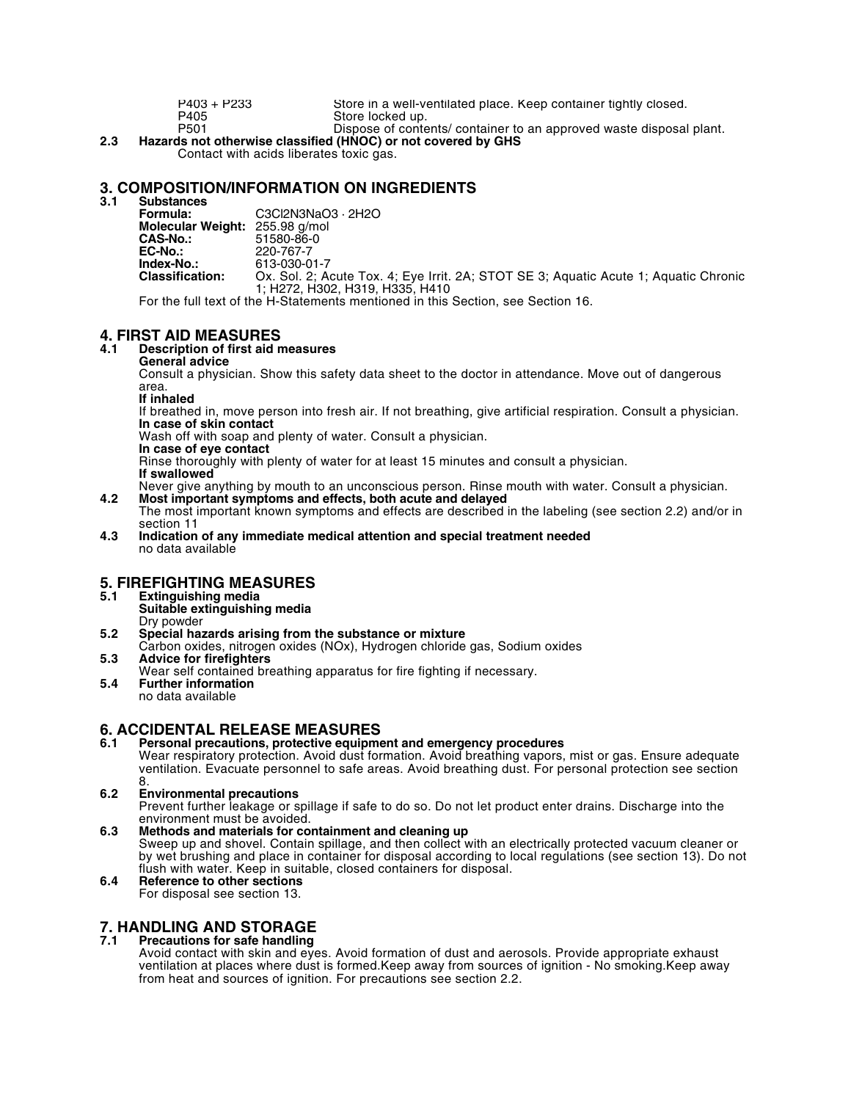| P403 + P233      | Store in a well-ventilated place. Keep container tightly closed.    |
|------------------|---------------------------------------------------------------------|
| P405             | Store locked up.                                                    |
| P <sub>501</sub> | Dispose of contents/ container to an approved waste disposal plant. |

**2.3 Hazards not otherwise classified (HNOC) or not covered by GHS** Contact with acids liberates toxic gas.

# **3. COMPOSITION/INFORMATION ON INGREDIENTS**

Substances<br>Formula: **Formula:** C3Cl2N3NaO3 · 2H2O **Molecular Weight:** 255.98 g/mol **CAS-No.:** 51580-86-0<br>**EC-No.:** 220-767-7 **EC-No.:** 220-767-7<br> **Index-No.:** 613-030-0 **Index-No.:** 613-030-01-7<br>**Classification:** Ox. Sol. 2: A Ox. Sol. 2; Acute Tox. 4; Eye Irrit. 2A; STOT SE 3; Aquatic Acute 1; Aquatic Chronic 1; H272, H302, H319, H335, H410

For the full text of the H-Statements mentioned in this Section, see Section 16.

# **4. FIRST AID MEASURES**

### **4.1 Description of first aid measures**

**General advice**

Consult a physician. Show this safety data sheet to the doctor in attendance. Move out of dangerous area.

**If inhaled**

If breathed in, move person into fresh air. If not breathing, give artificial respiration. Consult a physician. **In case of skin contact**

Wash off with soap and plenty of water. Consult a physician.

**In case of eye contact**

Rinse thoroughly with plenty of water for at least 15 minutes and consult a physician.

**If swallowed**

Never give anything by mouth to an unconscious person. Rinse mouth with water. Consult a physician. **4.2 Most important symptoms and effects, both acute and delayed**

- The most important known symptoms and effects are described in the labeling (see section 2.2) and/or in section 11
- **4.3 Indication of any immediate medical attention and special treatment needed** no data available

# **5. FIREFIGHTING MEASURES**

- **5.1 Extinguishing media**
- **Suitable extinguishing media** Dry powder
- **5.2 Special hazards arising from the substance or mixture**
- Carbon oxides, nitrogen oxides (NOx), Hydrogen chloride gas, Sodium oxides **5.3 Advice for firefighters**
- Wear self contained breathing apparatus for fire fighting if necessary.
- **5.4 Further information** no data available

### **6. ACCIDENTAL RELEASE MEASURES**

**6.1 Personal precautions, protective equipment and emergency procedures** Wear respiratory protection. Avoid dust formation. Avoid breathing vapors, mist or gas. Ensure adequate ventilation. Evacuate personnel to safe areas. Avoid breathing dust. For personal protection see section

#### 8. **6.2 Environmental precautions**

Prevent further leakage or spillage if safe to do so. Do not let product enter drains. Discharge into the environment must be avoided.

- **6.3 Methods and materials for containment and cleaning up** Sweep up and shovel. Contain spillage, and then collect with an electrically protected vacuum cleaner or by wet brushing and place in container for disposal according to local regulations (see section 13). Do not flush with water. Keep in suitable, closed containers for disposal.
- **6.4 Reference to other sections** For disposal see section 13.

# **7. HANDLING AND STORAGE**

#### **7.1 Precautions for safe handling**

Avoid contact with skin and eyes. Avoid formation of dust and aerosols. Provide appropriate exhaust ventilation at places where dust is formed.Keep away from sources of ignition - No smoking.Keep away from heat and sources of ignition. For precautions see section 2.2.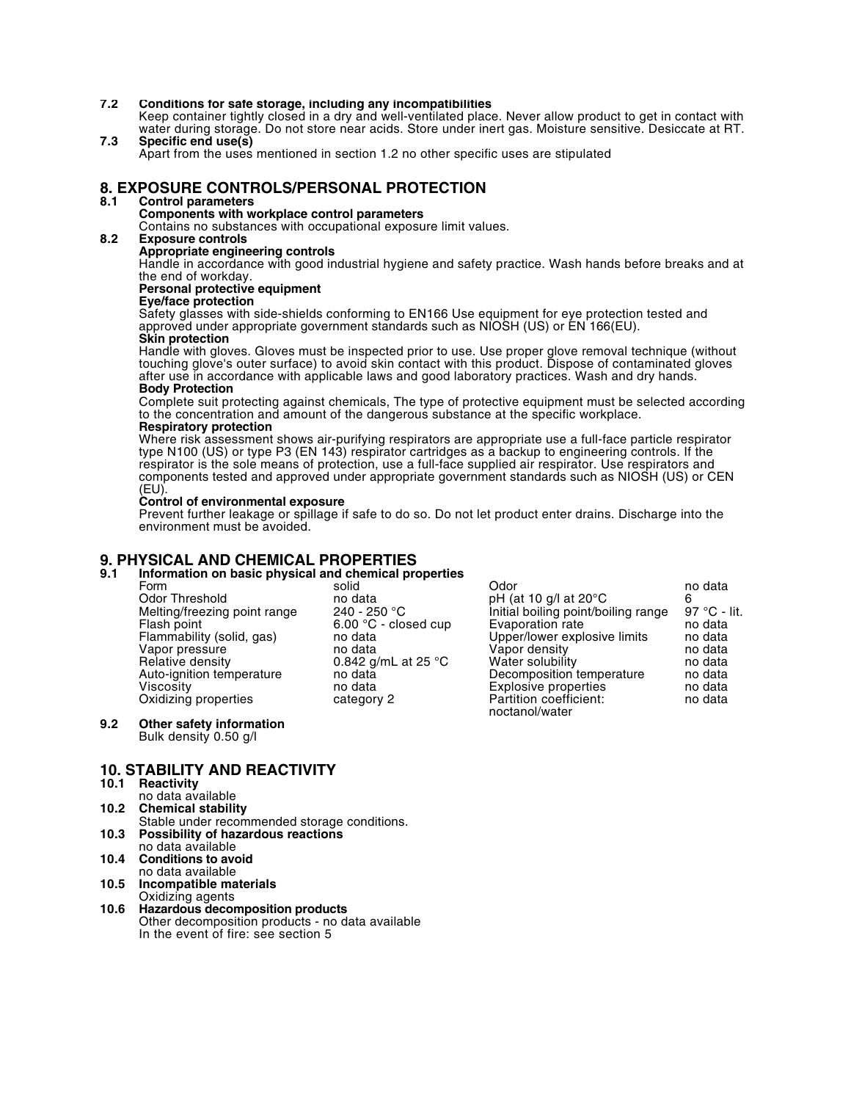#### **7.2 Conditions for safe storage, including any incompatibilities**

Keep container tightly closed in a dry and well-ventilated place. Never allow product to get in contact with water during storage. Do not store near acids. Store under inert gas. Moisture sensitive. Desiccate at RT. **7.3 Specific end use(s)**

Apart from the uses mentioned in section 1.2 no other specific uses are stipulated

# **8. EXPOSURE CONTROLS/PERSONAL PROTECTION**

#### **8.1 Control parameters**

### **Components with workplace control parameters**

Contains no substances with occupational exposure limit values.

#### **8.2 Exposure controls**

#### **Appropriate engineering controls**

Handle in accordance with good industrial hygiene and safety practice. Wash hands before breaks and at the end of workday.

### **Personal protective equipment**

#### **Eye/face protection**

Safety glasses with side-shields conforming to EN166 Use equipment for eye protection tested and approved under appropriate government standards such as NIOSH (US) or EN 166(EU). **Skin protection**

Handle with gloves. Gloves must be inspected prior to use. Use proper glove removal technique (without touching glove's outer surface) to avoid skin contact with this product. Dispose of contaminated gloves after use in accordance with applicable laws and good laboratory practices. Wash and dry hands. **Body Protection**

Complete suit protecting against chemicals, The type of protective equipment must be selected according to the concentration and amount of the dangerous substance at the specific workplace.

#### **Respiratory protection**

Where risk assessment shows air-purifying respirators are appropriate use a full-face particle respirator type N100 (US) or type P3 (EN 143) respirator cartridges as a backup to engineering controls. If the respirator is the sole means of protection, use a full-face supplied air respirator. Use respirators and components tested and approved under appropriate government standards such as NIOSH (US) or CEN (EU).

#### **Control of environmental exposure**

Prevent further leakage or spillage if safe to do so. Do not let product enter drains. Discharge into the environment must be avoided.

### **9. PHYSICAL AND CHEMICAL PROPERTIES**

### **9.1 Information on basic physical and chemical properties**

| Form                         | solid                          | Odor                                     | no data      |
|------------------------------|--------------------------------|------------------------------------------|--------------|
| Odor Threshold               | no data                        | pH (at 10 g/l at $20^{\circ}$ C          |              |
| Melting/freezing point range | $240 - 250 °C$                 | Initial boiling point/boiling range      | 97 °C - lit. |
| Flash point                  | $6.00 \text{ °C}$ - closed cup | Evaporation rate                         | no data      |
| Flammability (solid, gas)    | no data                        | Upper/lower explosive limits             | no data      |
| Vapor pressure               | no data                        | Vapor density                            | no data      |
| Relative density             | 0.842 g/mL at 25 $^{\circ}$ C  | Water solubility                         | no data      |
| Auto-ignition temperature    | no data                        | Decomposition temperature                | no data      |
| Viscositv                    | no data                        | Explosive properties                     | no data      |
| Oxidizing properties         | category 2                     | Partition coefficient:<br>noctanol/water | no data      |
|                              |                                |                                          |              |

#### **9.2 Other safety information** Bulk density 0.50 g/l

#### **10. STABILITY AND REACTIVITY**

#### **10.1 Reactivity**

- no data available
- **10.2 Chemical stability**
- Stable under recommended storage conditions. **10.3 Possibility of hazardous reactions**
- no data available **10.4 Conditions to avoid**
- no data available
- **10.5 Incompatible materials** Oxidizing agents
- **10.6 Hazardous decomposition products** Other decomposition products - no data available In the event of fire: see section 5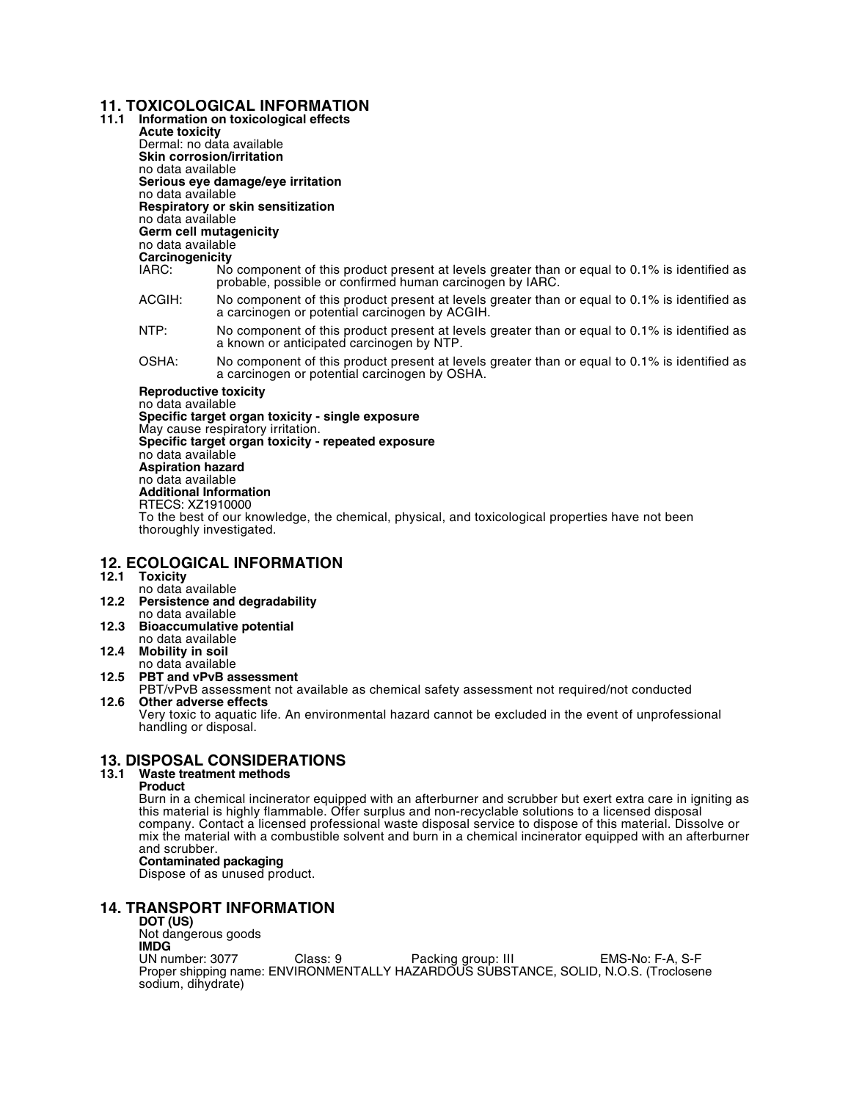### **11. TOXICOLOGICAL INFORMATION**

**11.1 Information on toxicological effects Acute toxicity**

Dermal: no data available **Skin corrosion/irritation** no data available **Serious eye damage/eye irritation** no data available **Respiratory or skin sensitization** no data available **Germ cell mutagenicity** no data available **Carcinogenicity**

- No component of this product present at levels greater than or equal to 0.1% is identified as probable, possible or confirmed human carcinogen by IARC.
- ACGIH: No component of this product present at levels greater than or equal to 0.1% is identified as a carcinogen or potential carcinogen by ACGIH.
- NTP: No component of this product present at levels greater than or equal to 0.1% is identified as a known or anticipated carcinogen by NTP.
- OSHA: No component of this product present at levels greater than or equal to 0.1% is identified as a carcinogen or potential carcinogen by OSHA.

#### **Reproductive toxicity**

no data available **Specific target organ toxicity - single exposure** May cause respiratory irritation. **Specific target organ toxicity - repeated exposure** no data available **Aspiration hazard** no data available **Additional Information** RTECS: XZ1910000 To the best of our knowledge, the chemical, physical, and toxicological properties have not been thoroughly investigated.

### **12. ECOLOGICAL INFORMATION**

- **12.1 Toxicity**
- no data available **12.2 Persistence and degradability** no data available
- **12.3 Bioaccumulative potential**
- no data available
- **12.4 Mobility in soil**  no data available
- **12.5 PBT and vPvB assessment**
- PBT/vPvB assessment not available as chemical safety assessment not required/not conducted **12.6 Other adverse effects**

Very toxic to aquatic life. An environmental hazard cannot be excluded in the event of unprofessional handling or disposal.

### **13. DISPOSAL CONSIDERATIONS**

#### **13.1 Waste treatment methods**

#### **Product**

Burn in a chemical incinerator equipped with an afterburner and scrubber but exert extra care in igniting as this material is highly flammable. Offer surplus and non-recyclable solutions to a licensed disposal company. Contact a licensed professional waste disposal service to dispose of this material. Dissolve or mix the material with a combustible solvent and burn in a chemical incinerator equipped with an afterburner and scrubber.

#### **Contaminated packaging**

Dispose of as unused product.

### **14. TRANSPORT INFORMATION**

**DOT (US)** Not dangerous goods **IMDG**<br>UN number: 3077 UN number: 3077 Class: 9 Packing group: III EMS-No: F-A, S-F Proper shipping name: ENVIRONMENTALLY HAZARDOUS SUBSTANCE, SOLID, N.O.S. (Troclosene sodium, dihydrate)